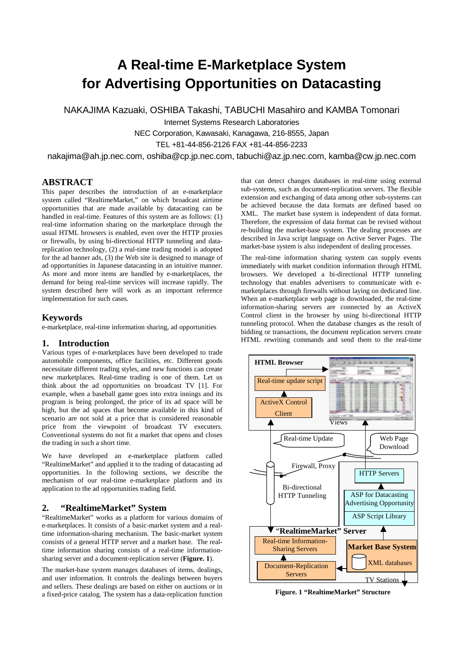# **A Real-time E-Marketplace System for Advertising Opportunities on Datacasting**

NAKAJIMA Kazuaki, OSHIBA Takashi, TABUCHI Masahiro and KAMBA Tomonari

Internet Systems Research Laboratories

NEC Corporation, Kawasaki, Kanagawa, 216-8555, Japan

TEL +81-44-856-2126 FAX +81-44-856-2233

nakajima@ah.jp.nec.com, oshiba@cp.jp.nec.com, tabuchi@az.jp.nec.com, kamba@cw.jp.nec.com

## **ABSTRACT**

This paper describes the introduction of an e-marketplace system called "RealtimeMarket," on which broadcast airtime opportunities that are made available by datacasting can be handled in real-time. Features of this system are as follows: (1) real-time information sharing on the marketplace through the usual HTML browsers is enabled, even over the HTTP proxies or firewalls, by using bi-directional HTTP tunneling and datareplication technology, (2) a real-time trading model is adopted for the ad banner ads, (3) the Web site is designed to manage of ad opportunities in Japanese datacasting in an intuitive manner. As more and more items are handled by e-marketplaces, the demand for being real-time services will increase rapidly. The system described here will work as an important reference implementation for such cases.

#### **Keywords**

e-marketplace, real-time information sharing, ad opportunities

#### **1. Introduction**

Various types of e-marketplaces have been developed to trade automobile components, office facilities, etc. Different goods necessitate different trading styles, and new functions can create new marketplaces. Real-time trading is one of them. Let us think about the ad opportunities on broadcast TV [1]. For example, when a baseball game goes into extra innings and its program is being prolonged, the price of its ad space will be high, but the ad spaces that become available in this kind of scenario are not sold at a price that is considered reasonable price from the viewpoint of broadcast TV executers. Conventional systems do not fit a market that opens and closes the trading in such a short time.

We have developed an e-marketplace platform called "RealtimeMarket" and applied it to the trading of datacasting ad opportunities. In the following sections, we describe the mechanism of our real-time e-marketplace platform and its application to the ad opportunities trading field.

#### **2. "RealtimeMarket" System**

"RealtimeMarket" works as a platform for various domains of e-marketplaces. It consists of a basic-market system and a realtime information-sharing mechanism. The basic-market system consists of a general HTTP server and a market base. The realtime information sharing consists of a real-time informationsharing server and a document-replication server (**Figure. 1**).

The market-base system manages databases of items, dealings, and user information. It controls the dealings between buyers and sellers. These dealings are based on either on auctions or in a fixed-price catalog. The system has a data-replication function that can detect changes databases in real-time using external sub-systems, such as document-replication servers. The flexible extension and exchanging of data among other sub-systems can be achieved because the data formats are defined based on XML. The market base system is independent of data format. Therefore, the expression of data format can be revised without re-building the market-base system. The dealing processes are described in Java script language on Active Server Pages. The market-base system is also independent of dealing processes.

The real-time information sharing system can supply events immediately with market condition information through HTML browsers. We developed a bi-directional HTTP tunneling technology that enables advertisers to communicate with emarketplaces through firewalls without laying on dedicated line. When an e-marketplace web page is downloaded, the real-time information-sharing servers are connected by an ActiveX Control client in the browser by using bi-directional HTTP tunneling protocol. When the database changes as the result of bidding or transactions, the document replication servers create HTML rewriting commands and send them to the real-time



**Figure. 1 "RealtimeMarket" Structure**